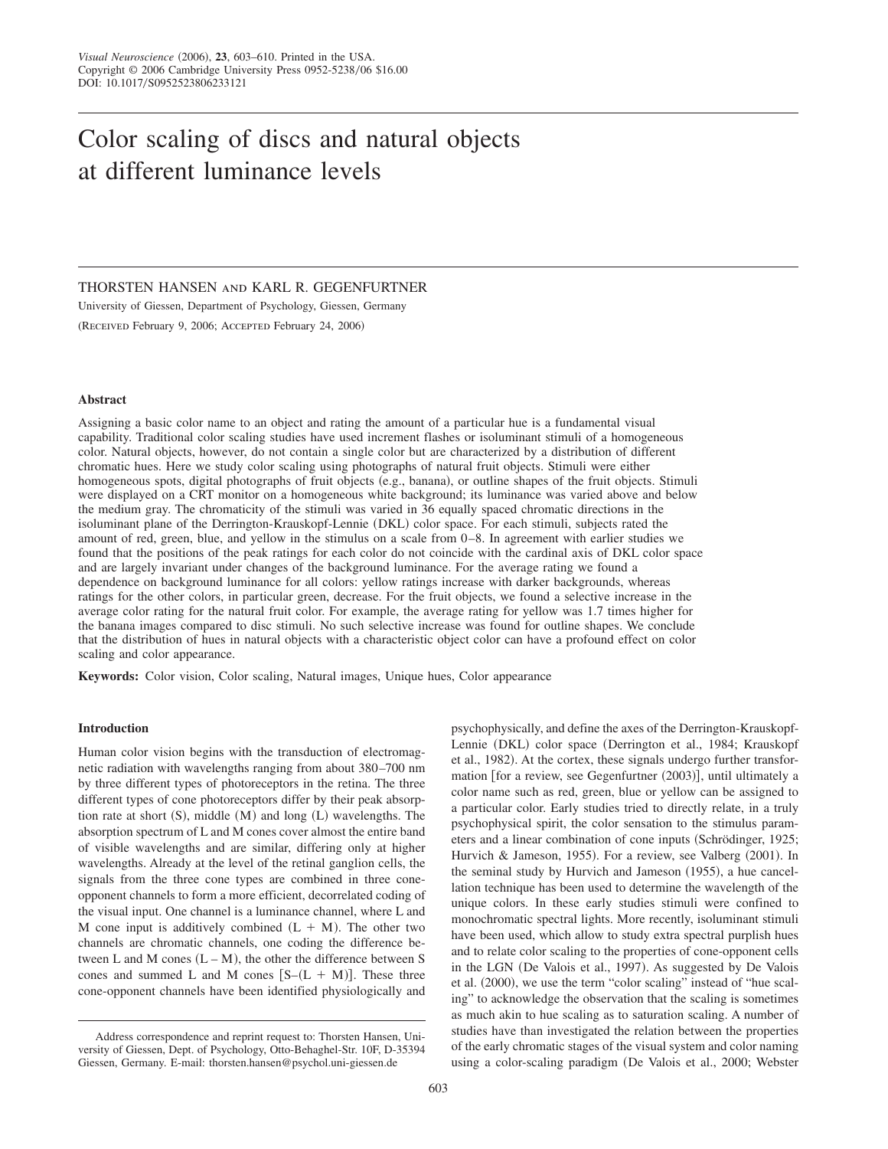# Color scaling of discs and natural objects at different luminance levels

THORSTEN HANSEN and KARL R. GEGENFURTNER

University of Giessen, Department of Psychology, Giessen, Germany (Received February 9, 2006; Accepted February 24, 2006!

# **Abstract**

Assigning a basic color name to an object and rating the amount of a particular hue is a fundamental visual capability. Traditional color scaling studies have used increment flashes or isoluminant stimuli of a homogeneous color. Natural objects, however, do not contain a single color but are characterized by a distribution of different chromatic hues. Here we study color scaling using photographs of natural fruit objects. Stimuli were either homogeneous spots, digital photographs of fruit objects (e.g., banana), or outline shapes of the fruit objects. Stimuli were displayed on a CRT monitor on a homogeneous white background; its luminance was varied above and below the medium gray. The chromaticity of the stimuli was varied in 36 equally spaced chromatic directions in the isoluminant plane of the Derrington-Krauskopf-Lennie (DKL) color space. For each stimuli, subjects rated the amount of red, green, blue, and yellow in the stimulus on a scale from 0–8. In agreement with earlier studies we found that the positions of the peak ratings for each color do not coincide with the cardinal axis of DKL color space and are largely invariant under changes of the background luminance. For the average rating we found a dependence on background luminance for all colors: yellow ratings increase with darker backgrounds, whereas ratings for the other colors, in particular green, decrease. For the fruit objects, we found a selective increase in the average color rating for the natural fruit color. For example, the average rating for yellow was 1.7 times higher for the banana images compared to disc stimuli. No such selective increase was found for outline shapes. We conclude that the distribution of hues in natural objects with a characteristic object color can have a profound effect on color scaling and color appearance.

**Keywords:** Color vision, Color scaling, Natural images, Unique hues, Color appearance

# **Introduction**

Human color vision begins with the transduction of electromagnetic radiation with wavelengths ranging from about 380–700 nm by three different types of photoreceptors in the retina. The three different types of cone photoreceptors differ by their peak absorption rate at short  $(S)$ , middle  $(M)$  and long  $(L)$  wavelengths. The absorption spectrum of L and M cones cover almost the entire band of visible wavelengths and are similar, differing only at higher wavelengths. Already at the level of the retinal ganglion cells, the signals from the three cone types are combined in three coneopponent channels to form a more efficient, decorrelated coding of the visual input. One channel is a luminance channel, where L and M cone input is additively combined  $(L + M)$ . The other two channels are chromatic channels, one coding the difference between L and M cones  $(L-M)$ , the other the difference between S cones and summed L and M cones  $[S-(L + M)]$ . These three cone-opponent channels have been identified physiologically and psychophysically, and define the axes of the Derrington-Krauskopf-Lennie (DKL) color space (Derrington et al., 1984; Krauskopf et al., 1982). At the cortex, these signals undergo further transformation  $[for a review, see Gegenfurther (2003)], until ultimately a$ color name such as red, green, blue or yellow can be assigned to a particular color. Early studies tried to directly relate, in a truly psychophysical spirit, the color sensation to the stimulus parameters and a linear combination of cone inputs (Schrödinger, 1925; Hurvich & Jameson, 1955). For a review, see Valberg  $(2001)$ . In the seminal study by Hurvich and Jameson  $(1955)$ , a hue cancellation technique has been used to determine the wavelength of the unique colors. In these early studies stimuli were confined to monochromatic spectral lights. More recently, isoluminant stimuli have been used, which allow to study extra spectral purplish hues and to relate color scaling to the properties of cone-opponent cells in the LGN (De Valois et al., 1997). As suggested by De Valois et al. (2000), we use the term "color scaling" instead of "hue scaling" to acknowledge the observation that the scaling is sometimes as much akin to hue scaling as to saturation scaling. A number of studies have than investigated the relation between the properties of the early chromatic stages of the visual system and color naming using a color-scaling paradigm (De Valois et al., 2000; Webster

Address correspondence and reprint request to: Thorsten Hansen, University of Giessen, Dept. of Psychology, Otto-Behaghel-Str. 10F, D-35394 Giessen, Germany. E-mail: thorsten.hansen@psychol.uni-giessen.de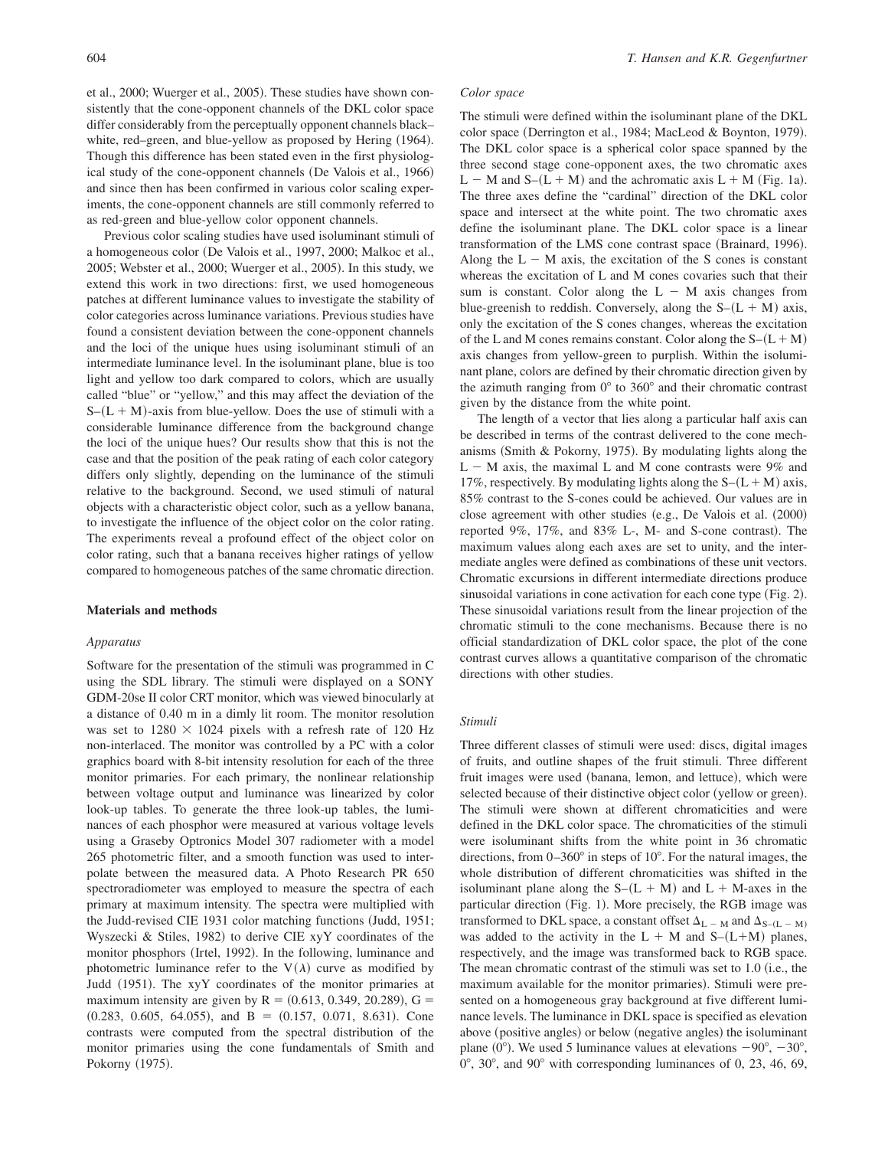et al., 2000; Wuerger et al., 2005). These studies have shown consistently that the cone-opponent channels of the DKL color space differ considerably from the perceptually opponent channels black– white, red–green, and blue-yellow as proposed by Hering (1964). Though this difference has been stated even in the first physiological study of the cone-opponent channels (De Valois et al., 1966) and since then has been confirmed in various color scaling experiments, the cone-opponent channels are still commonly referred to as red-green and blue-yellow color opponent channels.

Previous color scaling studies have used isoluminant stimuli of a homogeneous color (De Valois et al., 1997, 2000; Malkoc et al.,  $2005$ ; Webster et al.,  $2000$ ; Wuerger et al.,  $2005$ ). In this study, we extend this work in two directions: first, we used homogeneous patches at different luminance values to investigate the stability of color categories across luminance variations. Previous studies have found a consistent deviation between the cone-opponent channels and the loci of the unique hues using isoluminant stimuli of an intermediate luminance level. In the isoluminant plane, blue is too light and yellow too dark compared to colors, which are usually called "blue" or "yellow," and this may affect the deviation of the  $S-(L + M)$ -axis from blue-yellow. Does the use of stimuli with a considerable luminance difference from the background change the loci of the unique hues? Our results show that this is not the case and that the position of the peak rating of each color category differs only slightly, depending on the luminance of the stimuli relative to the background. Second, we used stimuli of natural objects with a characteristic object color, such as a yellow banana, to investigate the influence of the object color on the color rating. The experiments reveal a profound effect of the object color on color rating, such that a banana receives higher ratings of yellow compared to homogeneous patches of the same chromatic direction.

# **Materials and methods**

#### *Apparatus*

Software for the presentation of the stimuli was programmed in C using the SDL library. The stimuli were displayed on a SONY GDM-20se II color CRT monitor, which was viewed binocularly at a distance of 0.40 m in a dimly lit room. The monitor resolution was set to  $1280 \times 1024$  pixels with a refresh rate of 120 Hz non-interlaced. The monitor was controlled by a PC with a color graphics board with 8-bit intensity resolution for each of the three monitor primaries. For each primary, the nonlinear relationship between voltage output and luminance was linearized by color look-up tables. To generate the three look-up tables, the luminances of each phosphor were measured at various voltage levels using a Graseby Optronics Model 307 radiometer with a model 265 photometric filter, and a smooth function was used to interpolate between the measured data. A Photo Research PR 650 spectroradiometer was employed to measure the spectra of each primary at maximum intensity. The spectra were multiplied with the Judd-revised CIE 1931 color matching functions (Judd, 1951; Wyszecki  $\&$  Stiles, 1982) to derive CIE xyY coordinates of the monitor phosphors (Irtel, 1992). In the following, luminance and photometric luminance refer to the  $V(\lambda)$  curve as modified by Judd  $(1951)$ . The xyY coordinates of the monitor primaries at maximum intensity are given by  $R = (0.613, 0.349, 20.289)$ ,  $G =$  $(0.283, 0.605, 64.055)$ , and B =  $(0.157, 0.071, 8.631)$ . Cone contrasts were computed from the spectral distribution of the monitor primaries using the cone fundamentals of Smith and Pokorny (1975).

### *Color space*

The stimuli were defined within the isoluminant plane of the DKL color space (Derrington et al., 1984; MacLeod & Boynton, 1979). The DKL color space is a spherical color space spanned by the three second stage cone-opponent axes, the two chromatic axes  $L - M$  and  $S-(L + M)$  and the achromatic axis  $L + M$  (Fig. 1a). The three axes define the "cardinal" direction of the DKL color space and intersect at the white point. The two chromatic axes define the isoluminant plane. The DKL color space is a linear transformation of the LMS cone contrast space (Brainard, 1996). Along the  $L - M$  axis, the excitation of the S cones is constant whereas the excitation of L and M cones covaries such that their sum is constant. Color along the  $L - M$  axis changes from blue-greenish to reddish. Conversely, along the  $S-(L + M)$  axis, only the excitation of the S cones changes, whereas the excitation of the L and M cones remains constant. Color along the  $S-(L+M)$ axis changes from yellow-green to purplish. Within the isoluminant plane, colors are defined by their chromatic direction given by the azimuth ranging from  $0^{\circ}$  to 360 $^{\circ}$  and their chromatic contrast given by the distance from the white point.

The length of a vector that lies along a particular half axis can be described in terms of the contrast delivered to the cone mechanisms (Smith & Pokorny, 1975). By modulating lights along the  $L - M$  axis, the maximal L and M cone contrasts were 9% and 17%, respectively. By modulating lights along the  $S-(L+M)$  axis, 85% contrast to the S-cones could be achieved. Our values are in close agreement with other studies  $(e.g., De$  Valois et al.  $(2000)$ reported 9%, 17%, and 83% L-, M- and S-cone contrast). The maximum values along each axes are set to unity, and the intermediate angles were defined as combinations of these unit vectors. Chromatic excursions in different intermediate directions produce sinusoidal variations in cone activation for each cone type  $(Fig. 2)$ . These sinusoidal variations result from the linear projection of the chromatic stimuli to the cone mechanisms. Because there is no official standardization of DKL color space, the plot of the cone contrast curves allows a quantitative comparison of the chromatic directions with other studies.

#### *Stimuli*

Three different classes of stimuli were used: discs, digital images of fruits, and outline shapes of the fruit stimuli. Three different fruit images were used (banana, lemon, and lettuce), which were selected because of their distinctive object color (yellow or green). The stimuli were shown at different chromaticities and were defined in the DKL color space. The chromaticities of the stimuli were isoluminant shifts from the white point in 36 chromatic directions, from  $0-360^\circ$  in steps of  $10^\circ$ . For the natural images, the whole distribution of different chromaticities was shifted in the isoluminant plane along the  $S-(L + M)$  and  $L + M$ -axes in the particular direction (Fig. 1). More precisely, the RGB image was transformed to DKL space, a constant offset  $\Delta_{L}$  –  $_{M}$  and  $\Delta_{S-(L - M)}$ was added to the activity in the  $L + M$  and  $S-(L+M)$  planes, respectively, and the image was transformed back to RGB space. The mean chromatic contrast of the stimuli was set to  $1.0$  (i.e., the maximum available for the monitor primaries). Stimuli were presented on a homogeneous gray background at five different luminance levels. The luminance in DKL space is specified as elevation above (positive angles) or below (negative angles) the isoluminant plane  $(0^{\circ})$ . We used 5 luminance values at elevations  $-90^{\circ}$ ,  $-30^{\circ}$ ,  $0^{\circ}$ , 30°, and 90° with corresponding luminances of 0, 23, 46, 69,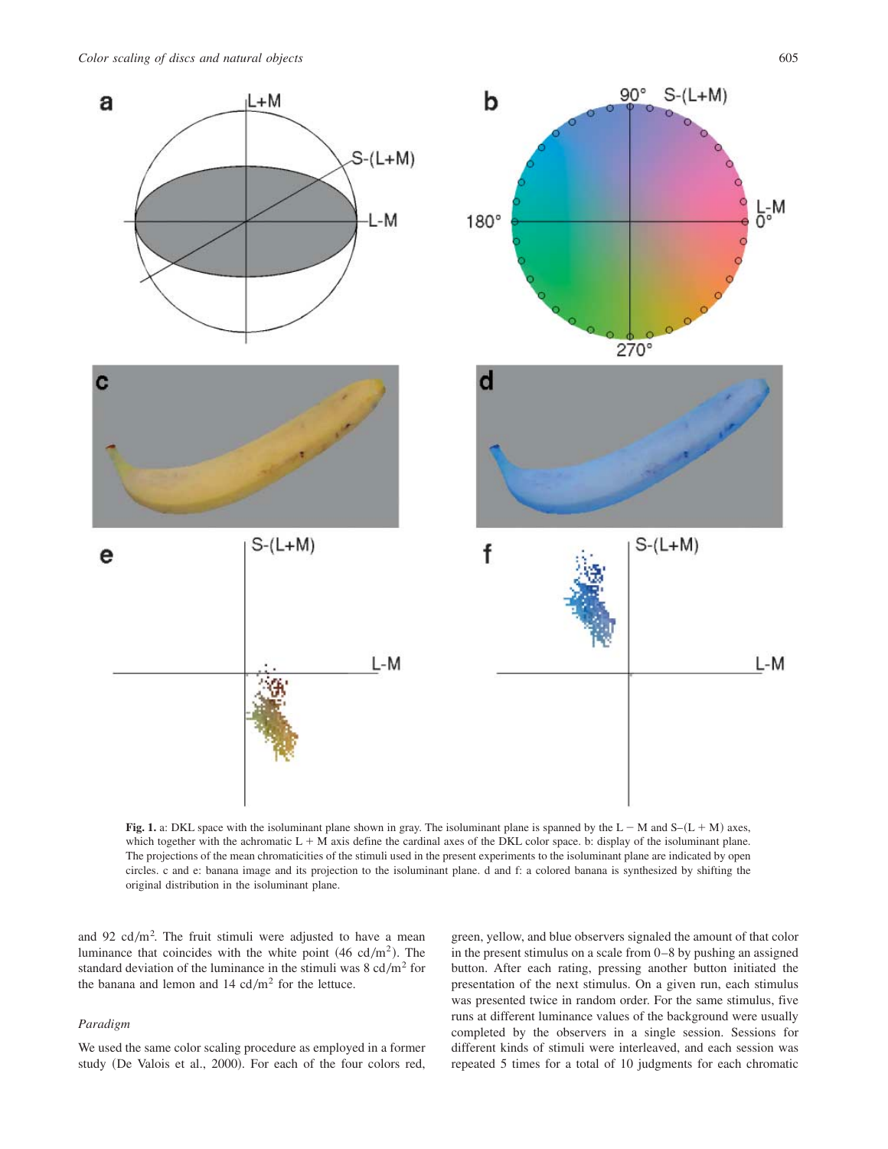

**Fig. 1.** a: DKL space with the isoluminant plane shown in gray. The isoluminant plane is spanned by the  $L - M$  and  $S-(L + M)$  axes, which together with the achromatic  $L + M$  axis define the cardinal axes of the DKL color space. b: display of the isoluminant plane. The projections of the mean chromaticities of the stimuli used in the present experiments to the isoluminant plane are indicated by open circles. c and e: banana image and its projection to the isoluminant plane. d and f: a colored banana is synthesized by shifting the original distribution in the isoluminant plane.

and 92  $cd/m^2$ . The fruit stimuli were adjusted to have a mean luminance that coincides with the white point  $(46 \text{ cd/m}^2)$ . The standard deviation of the luminance in the stimuli was  $8 \text{ cd/m}^2$  for the banana and lemon and  $14 \text{ cd/m}^2$  for the lettuce.

# *Paradigm*

We used the same color scaling procedure as employed in a former study (De Valois et al., 2000). For each of the four colors red,

green, yellow, and blue observers signaled the amount of that color in the present stimulus on a scale from 0–8 by pushing an assigned button. After each rating, pressing another button initiated the presentation of the next stimulus. On a given run, each stimulus was presented twice in random order. For the same stimulus, five runs at different luminance values of the background were usually completed by the observers in a single session. Sessions for different kinds of stimuli were interleaved, and each session was repeated 5 times for a total of 10 judgments for each chromatic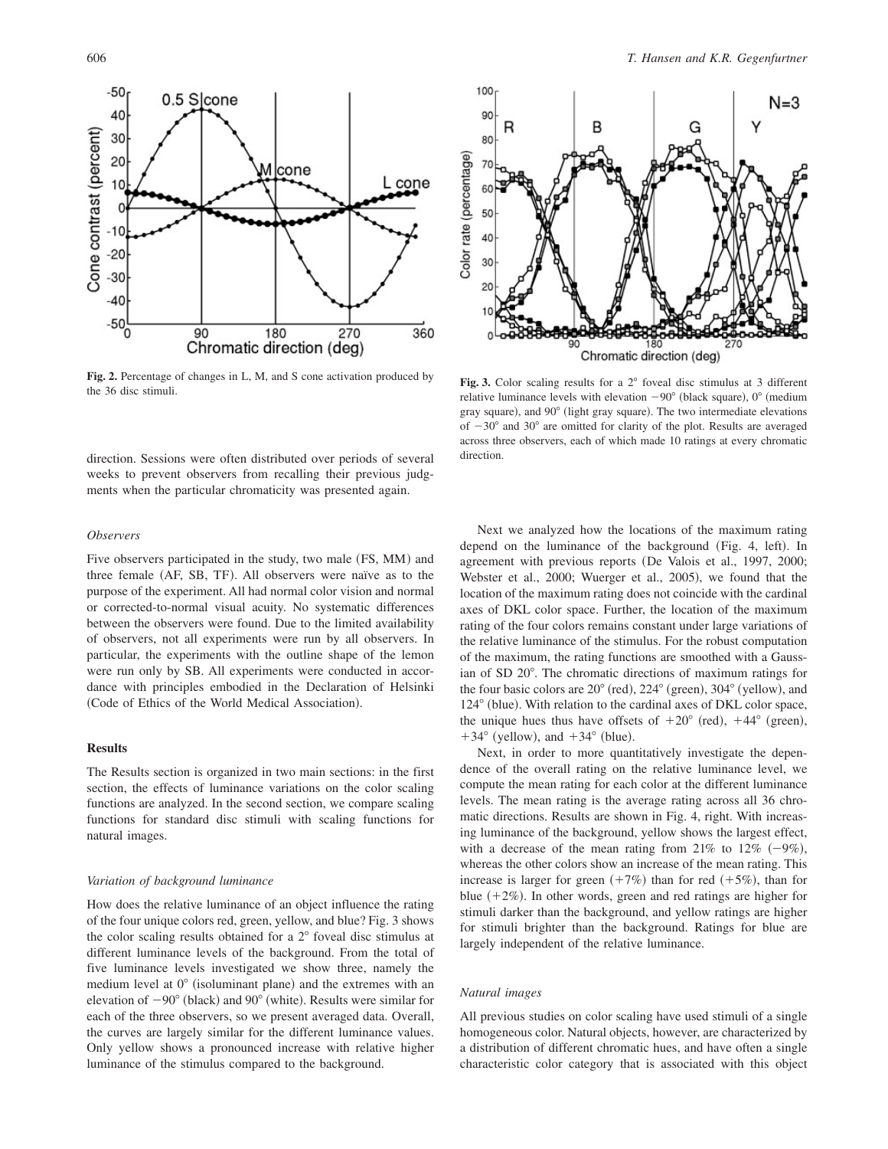

**Fig. 2.** Percentage of changes in L, M, and S cone activation produced by **Fig. 2.** Percentage of changes in L, M, and S cone activation produced by Fig. 3. Color scaling results for a 2<sup>°</sup> foveal disc stimulus at 3 different the 36 disc stimulus.

direction. Sessions were often distributed over periods of several weeks to prevent observers from recalling their previous judgments when the particular chromaticity was presented again.

## *Observers*

Five observers participated in the study, two male (FS, MM) and three female (AF, SB, TF). All observers were naïve as to the purpose of the experiment. All had normal color vision and normal or corrected-to-normal visual acuity. No systematic differences between the observers were found. Due to the limited availability of observers, not all experiments were run by all observers. In particular, the experiments with the outline shape of the lemon were run only by SB. All experiments were conducted in accordance with principles embodied in the Declaration of Helsinki (Code of Ethics of the World Medical Association).

# **Results**

The Results section is organized in two main sections: in the first section, the effects of luminance variations on the color scaling functions are analyzed. In the second section, we compare scaling functions for standard disc stimuli with scaling functions for natural images.

#### *Variation of background luminance*

How does the relative luminance of an object influence the rating of the four unique colors red, green, yellow, and blue? Fig. 3 shows the color scaling results obtained for a  $2^{\circ}$  foveal disc stimulus at different luminance levels of the background. From the total of five luminance levels investigated we show three, namely the medium level at  $0^{\circ}$  (isoluminant plane) and the extremes with an elevation of  $-90^{\circ}$  (black) and  $90^{\circ}$  (white). Results were similar for each of the three observers, so we present averaged data. Overall, the curves are largely similar for the different luminance values. Only yellow shows a pronounced increase with relative higher luminance of the stimulus compared to the background.



relative luminance levels with elevation  $-90^{\circ}$  (black square), 0° (medium gray square), and  $90^\circ$  (light gray square). The two intermediate elevations of  $-30^{\circ}$  and  $30^{\circ}$  are omitted for clarity of the plot. Results are averaged across three observers, each of which made 10 ratings at every chromatic direction.

Next we analyzed how the locations of the maximum rating depend on the luminance of the background  $(Fig. 4, left)$ . In agreement with previous reports (De Valois et al., 1997, 2000; Webster et al., 2000; Wuerger et al., 2005), we found that the location of the maximum rating does not coincide with the cardinal axes of DKL color space. Further, the location of the maximum rating of the four colors remains constant under large variations of the relative luminance of the stimulus. For the robust computation of the maximum, the rating functions are smoothed with a Gaussian of SD 20°. The chromatic directions of maximum ratings for the four basic colors are  $20^{\circ}$  (red),  $224^{\circ}$  (green),  $304^{\circ}$  (yellow), and  $124^{\circ}$  (blue). With relation to the cardinal axes of DKL color space, the unique hues thus have offsets of  $+20^{\circ}$  (red),  $+44^{\circ}$  (green),  $+34^{\circ}$  (yellow), and  $+34^{\circ}$  (blue).

Next, in order to more quantitatively investigate the dependence of the overall rating on the relative luminance level, we compute the mean rating for each color at the different luminance levels. The mean rating is the average rating across all 36 chromatic directions. Results are shown in Fig. 4, right. With increasing luminance of the background, yellow shows the largest effect, with a decrease of the mean rating from 21% to 12%  $(-9\%)$ , whereas the other colors show an increase of the mean rating. This increase is larger for green  $(+7%)$  than for red  $(+5%)$ , than for blue  $(+2\%)$ . In other words, green and red ratings are higher for stimuli darker than the background, and yellow ratings are higher for stimuli brighter than the background. Ratings for blue are largely independent of the relative luminance.

#### *Natural images*

All previous studies on color scaling have used stimuli of a single homogeneous color. Natural objects, however, are characterized by a distribution of different chromatic hues, and have often a single characteristic color category that is associated with this object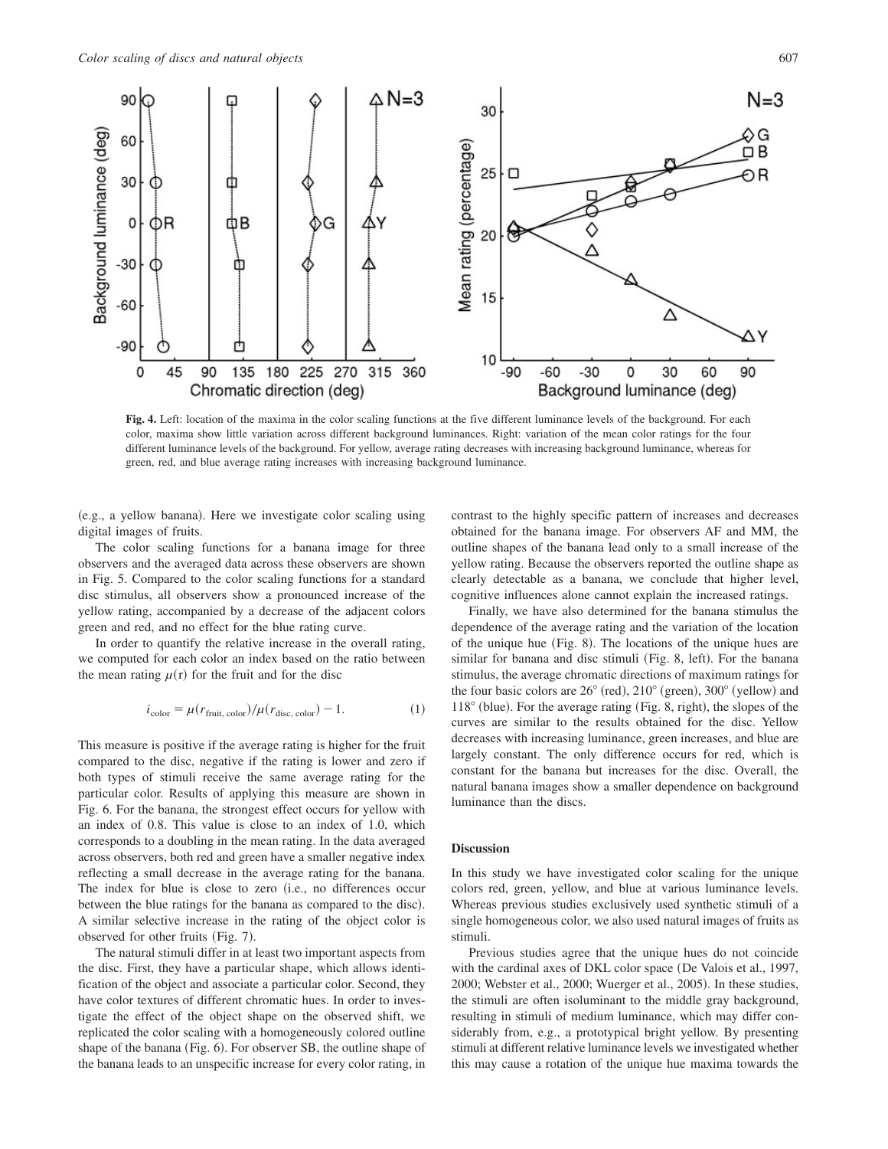

**Fig. 4.** Left: location of the maxima in the color scaling functions at the five different luminance levels of the background. For each color, maxima show little variation across different background luminances. Right: variation of the mean color ratings for the four different luminance levels of the background. For yellow, average rating decreases with increasing background luminance, whereas for green, red, and blue average rating increases with increasing background luminance.

(e.g., a yellow banana). Here we investigate color scaling using digital images of fruits.

The color scaling functions for a banana image for three observers and the averaged data across these observers are shown in Fig. 5. Compared to the color scaling functions for a standard disc stimulus, all observers show a pronounced increase of the yellow rating, accompanied by a decrease of the adjacent colors green and red, and no effect for the blue rating curve.

In order to quantify the relative increase in the overall rating, we computed for each color an index based on the ratio between the mean rating  $\mu(r)$  for the fruit and for the disc

$$
i_{\text{color}} = \mu(r_{\text{fruit, color}})/\mu(r_{\text{disc, color}}) - 1. \tag{1}
$$

This measure is positive if the average rating is higher for the fruit compared to the disc, negative if the rating is lower and zero if both types of stimuli receive the same average rating for the particular color. Results of applying this measure are shown in Fig. 6. For the banana, the strongest effect occurs for yellow with an index of 0.8. This value is close to an index of 1.0, which corresponds to a doubling in the mean rating. In the data averaged across observers, both red and green have a smaller negative index reflecting a small decrease in the average rating for the banana. The index for blue is close to zero (i.e., no differences occur between the blue ratings for the banana as compared to the disc). A similar selective increase in the rating of the object color is observed for other fruits  $(Fig. 7)$ .

The natural stimuli differ in at least two important aspects from the disc. First, they have a particular shape, which allows identification of the object and associate a particular color. Second, they have color textures of different chromatic hues. In order to investigate the effect of the object shape on the observed shift, we replicated the color scaling with a homogeneously colored outline shape of the banana (Fig. 6). For observer SB, the outline shape of the banana leads to an unspecific increase for every color rating, in contrast to the highly specific pattern of increases and decreases obtained for the banana image. For observers AF and MM, the outline shapes of the banana lead only to a small increase of the yellow rating. Because the observers reported the outline shape as clearly detectable as a banana, we conclude that higher level, cognitive influences alone cannot explain the increased ratings.

Finally, we have also determined for the banana stimulus the dependence of the average rating and the variation of the location of the unique hue  $(Fig. 8)$ . The locations of the unique hues are similar for banana and disc stimuli (Fig. 8, left). For the banana stimulus, the average chromatic directions of maximum ratings for the four basic colors are  $26^{\circ}$  (red),  $210^{\circ}$  (green),  $300^{\circ}$  (yellow) and  $118^{\circ}$  (blue). For the average rating (Fig. 8, right), the slopes of the curves are similar to the results obtained for the disc. Yellow decreases with increasing luminance, green increases, and blue are largely constant. The only difference occurs for red, which is constant for the banana but increases for the disc. Overall, the natural banana images show a smaller dependence on background luminance than the discs.

# **Discussion**

In this study we have investigated color scaling for the unique colors red, green, yellow, and blue at various luminance levels. Whereas previous studies exclusively used synthetic stimuli of a single homogeneous color, we also used natural images of fruits as stimuli.

Previous studies agree that the unique hues do not coincide with the cardinal axes of DKL color space (De Valois et al., 1997, 2000; Webster et al., 2000; Wuerger et al., 2005). In these studies, the stimuli are often isoluminant to the middle gray background, resulting in stimuli of medium luminance, which may differ considerably from, e.g., a prototypical bright yellow. By presenting stimuli at different relative luminance levels we investigated whether this may cause a rotation of the unique hue maxima towards the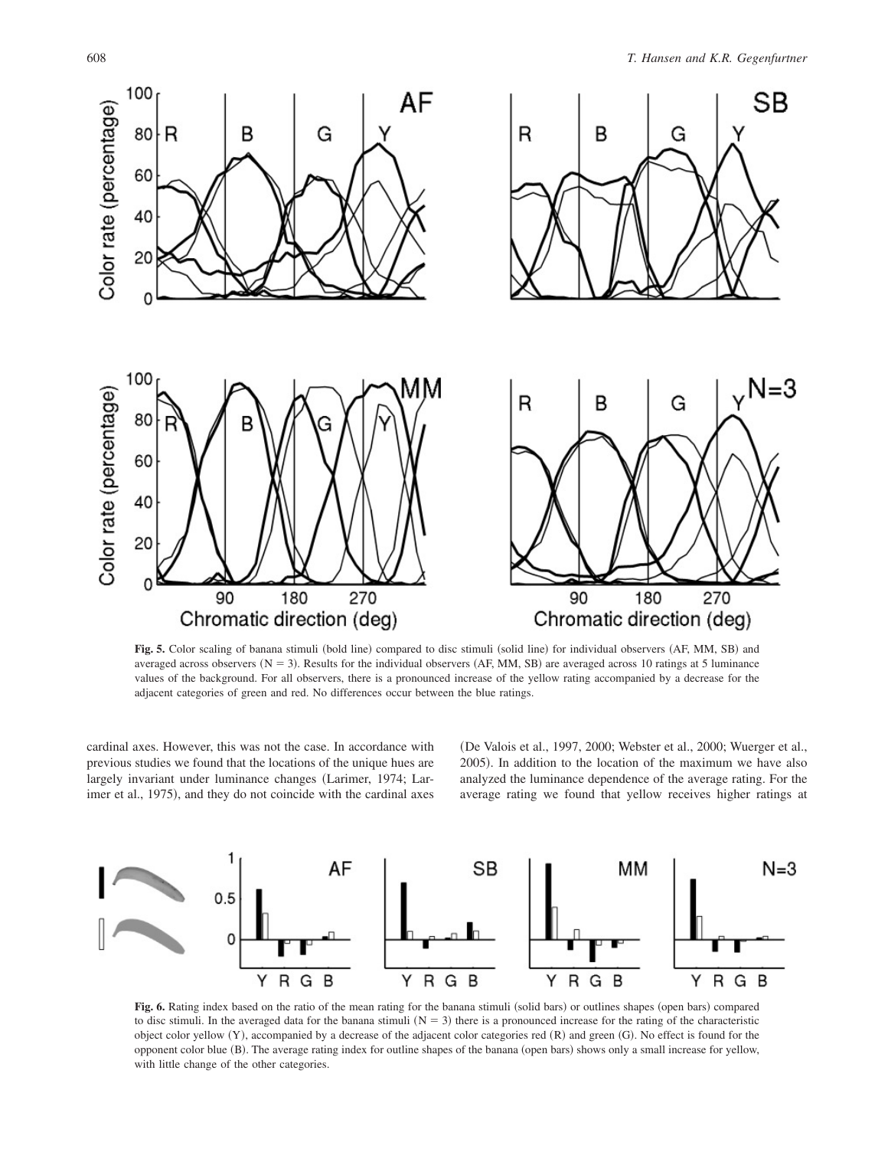

Fig. 5. Color scaling of banana stimuli (bold line) compared to disc stimuli (solid line) for individual observers (AF, MM, SB) and averaged across observers  $(N = 3)$ . Results for the individual observers  $(AF, MM, SB)$  are averaged across 10 ratings at 5 luminance values of the background. For all observers, there is a pronounced increase of the yellow rating accompanied by a decrease for the adjacent categories of green and red. No differences occur between the blue ratings.

cardinal axes. However, this was not the case. In accordance with previous studies we found that the locations of the unique hues are largely invariant under luminance changes (Larimer, 1974; Larimer et al., 1975), and they do not coincide with the cardinal axes

(De Valois et al., 1997, 2000; Webster et al., 2000; Wuerger et al., 2005). In addition to the location of the maximum we have also analyzed the luminance dependence of the average rating. For the average rating we found that yellow receives higher ratings at



Fig. 6. Rating index based on the ratio of the mean rating for the banana stimuli (solid bars) or outlines shapes (open bars) compared to disc stimuli. In the averaged data for the banana stimuli  $(N = 3)$  there is a pronounced increase for the rating of the characteristic object color yellow (Y), accompanied by a decrease of the adjacent color categories red (R) and green (G). No effect is found for the opponent color blue (B). The average rating index for outline shapes of the banana (open bars) shows only a small increase for yellow, with little change of the other categories.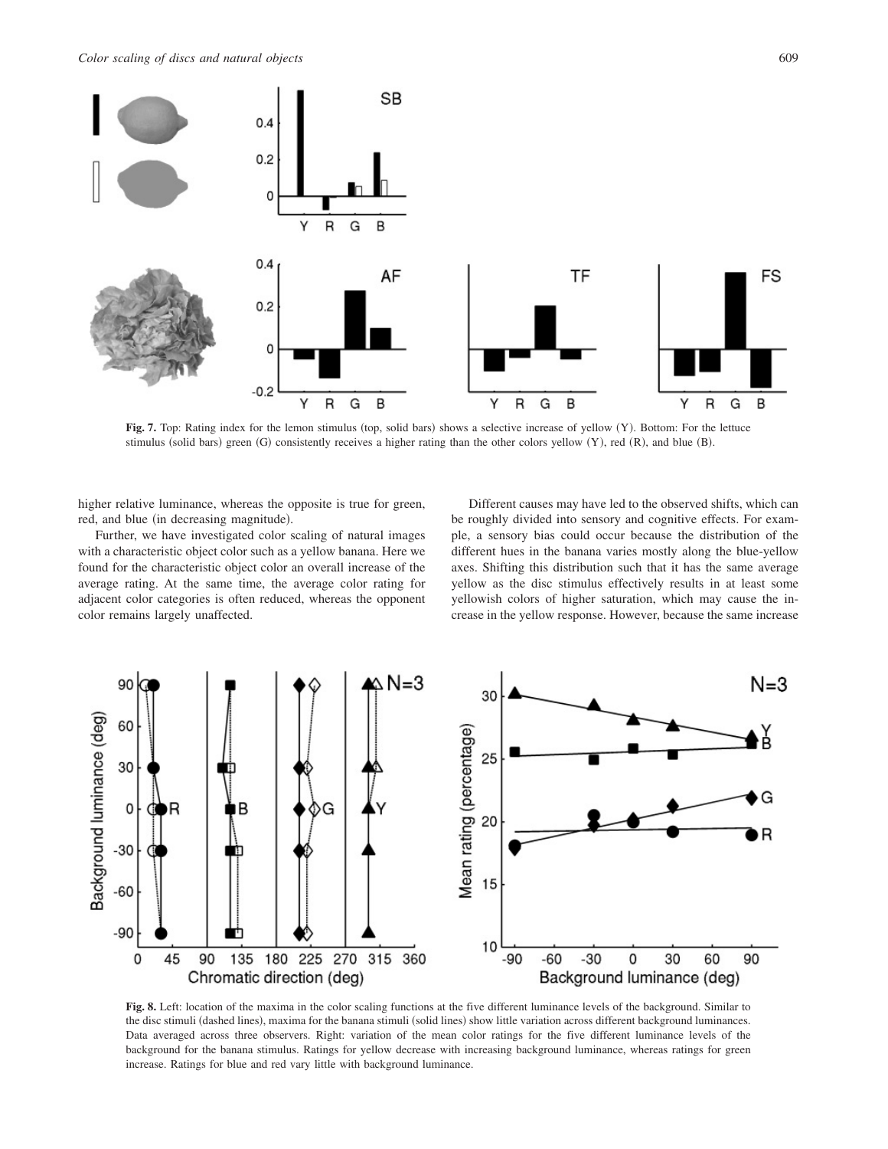

Fig. 7. Top: Rating index for the lemon stimulus (top, solid bars) shows a selective increase of yellow (Y). Bottom: For the lettuce stimulus (solid bars) green  $(G)$  consistently receives a higher rating than the other colors yellow  $(Y)$ , red  $(R)$ , and blue  $(B)$ .

higher relative luminance, whereas the opposite is true for green, red, and blue (in decreasing magnitude).

Further, we have investigated color scaling of natural images with a characteristic object color such as a yellow banana. Here we found for the characteristic object color an overall increase of the average rating. At the same time, the average color rating for adjacent color categories is often reduced, whereas the opponent color remains largely unaffected.

Different causes may have led to the observed shifts, which can be roughly divided into sensory and cognitive effects. For example, a sensory bias could occur because the distribution of the different hues in the banana varies mostly along the blue-yellow axes. Shifting this distribution such that it has the same average yellow as the disc stimulus effectively results in at least some yellowish colors of higher saturation, which may cause the increase in the yellow response. However, because the same increase



**Fig. 8.** Left: location of the maxima in the color scaling functions at the five different luminance levels of the background. Similar to the disc stimuli (dashed lines), maxima for the banana stimuli (solid lines) show little variation across different background luminances. Data averaged across three observers. Right: variation of the mean color ratings for the five different luminance levels of the background for the banana stimulus. Ratings for yellow decrease with increasing background luminance, whereas ratings for green increase. Ratings for blue and red vary little with background luminance.